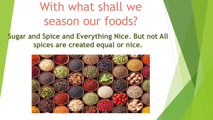With what shall we season our foods?

**Sugar and Spice and Everything Nice. But not All spices are created equal or nice.**

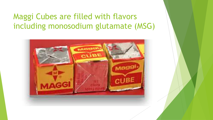# Maggi Cubes are filled with flavors including monosodium glutamate (MSG)

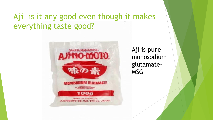# Aji –is it any good even though it makes everything taste good?



Aji is **pure** monosodium glutamate-MSG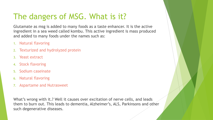# The dangers of MSG. What is it?

Glutamate as msg is added to many foods as a taste enhancer. It is the active ingredient in a sea weed called kombu. This active ingredient is mass produced and added to many foods under the names such as:

- 1. Natural flavoring
- Texturized and hydrolyzed protein
- 3. Yeast extract
- 4. Stock flavoring
- 5. Sodium caseinate
- 6. Natural flavoring
- 7. Aspartame and Nutrasweet

What's wrong with it.? Well it causes over excitation of nerve cells, and leads them to burn out. This leads to dementia, Alzheimer's, ALS, Parkinsons and other such degenerative diseases.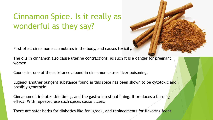# Cinnamon Spice. Is it really as wonderful as they say?

First of all cinnamon accumulates in the body, and causes toxicity.

The oils in cinnamon also cause uterine contractions, as such it is a danger for pregnant women.

Coumarin, one of the substances found in cinnamon causes liver poisoning.

Eugenol another pungent substance found in this spice has been shown to be cytotoxic and possibly genotoxic.

Cinnamon oil irritates skin lining, and the gastro intestinal lining. It produces a burning effect. With repeated use such spices cause ulcers.

There are safer herbs for diabetics like fenugreek, and replacements for flavoring foods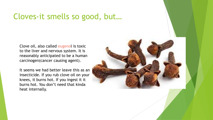#### Cloves-it smells so good, but…

Clove oil, also called eugenol is toxic to the liver and nervous system. It is reasonably anticipated to be a human carcinogen(cancer causing agent).

It seems we had better leave this as an insecticide. If you rub clove oil on your knees, it burns hot. If you ingest it it burns hot. You don't need that kinda heat internally.

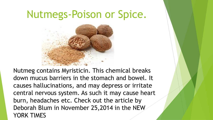# Nutmegs-Poison or Spice.



Nutmeg contains Myristicin. This chemical breaks down mucus barriers in the stomach and bowel. It causes hallucinations, and may depress or irritate central nervous system. As such it may cause heart burn, headaches etc. Check out the article by Deborah Blum in November 25,2014 in the NEW YORK TIMES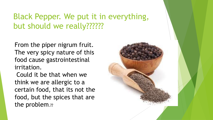# Black Pepper. We put it in everything, but should we really??????

From the piper nigrum fruit. The very spicy nature of this food cause gastrointestinal irritation.

Could it be that when we think we are allergic to a certain food, that its not the food, but the spices that are the problem.??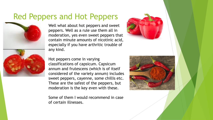### Red Peppers and Hot Peppers



Well what about hot peppers and sweet peppers. Well as a rule use them all in moderation, yes even sweet peppers that contain minute amounts of nicotinic acid, especially if you have arthritic trouble of any kind.



Hot peppers come in varying classifications of capsicum. Capsicum annum and frutescens (which is of itself considered of the variety annum) includes sweet peppers, cayenne, some chillis etc. These are the safest of the peppers, but moderation is the key even with these.

Some of them I would recommend in case of certain illnesses.

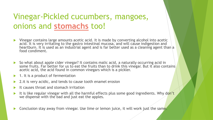# Vinegar-Pickled cucumbers, mangoes, onions and **stomachs** too!

- Vinegar contains large amounts acetic acid. It is made by converting alcohol into acetic acid. It is very irritating to the gastro intestinal mucosa, and will cause indigestion and heartburn. It is used as an industrial agent and is far better used as a cleaning agent than a food condiment.
- So what about apple cider vinegar? It contains malic acid, a naturally occurring acid in some fruits. Far better for us to eat the fruits than to drink this vinegar. But it also contains acetic acid, the acid found in common vinegars which is a pickler.
- $\blacktriangleright$  1. It is a product of fermentation
- 2.it is very acidic, and tends to cause tooth enamel erosion
- It causes throat and stomach irritation
- It is like regular vinegar with all the harmful effects plus some good ingredients. Why don't we dispense with the bad and just eat the apples.

Conclusion stay away from vinegar. Use lime or lemon juice, it will work just the same.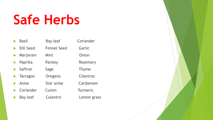# **Safe Herbs**

| <b>Basil</b>                    | Bay leaf           |
|---------------------------------|--------------------|
| Dill Seed                       | <b>Fennel Seed</b> |
| $\blacktriangleright$ Marjoram  | Mint               |
| $\blacktriangleright$ Paprika   | Parsley            |
| $\blacktriangleright$ Saffron   | Sage               |
| $\blacktriangleright$ Tarragon  | Oregano            |
| $\blacktriangleright$ Anise     | Star anise         |
| $\blacktriangleright$ Coriander | Cumin              |
| <b>Bay leaf</b>                 | Culantro           |

Coriander Garlic **Onion** Rosemary Thyme Cilantros Cardamom **Turmeric** Lemon grass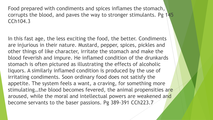Food prepared with condiments and spices inflames the stomach, corrupts the blood, and paves the way to stronger stimulants. Pg 145 CCh104.3

In this fast age, the less exciting the food, the better. Condiments are injurious in their nature. Mustard, pepper, spices, pickles and other things of like character, irritate the stomach and make the blood feverish and impure. He inflamed condition of the drunkards stomach is often pictured as illustrating the effects of alcoholic liquors. A similarly inflamed condition is produced by the use of irritating condiments. Soon ordinary food does not satisfy the appetite. The system feels a want, a craving, for something more stimulating...the blood becomes fevered, the animal propensities are aroused, while the moral and intellectual powers are weakened and become servants to the baser passions. Pg 389-391 CCh223.7